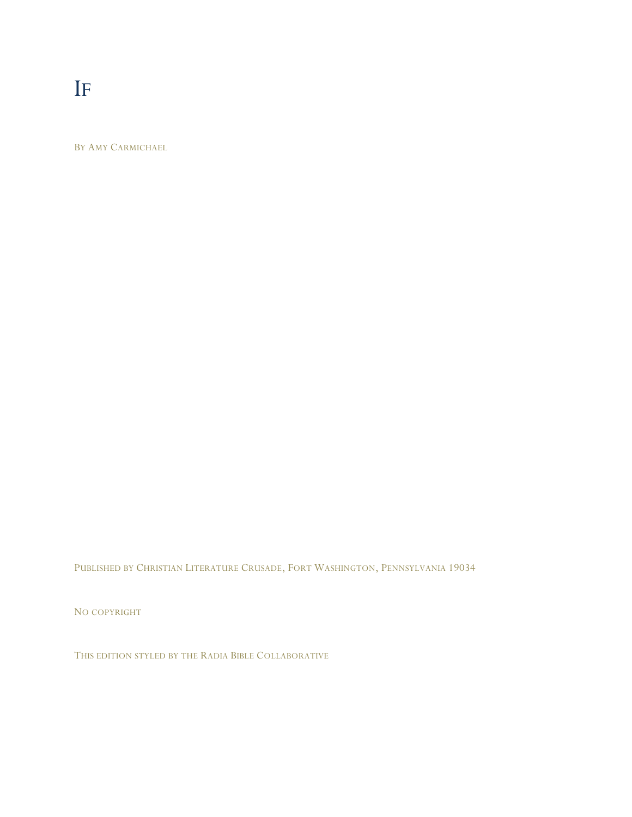IF

BY AMY CARMICHAEL

PUBLISHED BY CHRISTIAN LITERATURE CRUSADE, FORT WASHINGTON, PENNSYLVANIA 19034

NO COPYRIGHT

THIS EDITION STYLED BY THE RADIA BIBLE COLLABORATIVE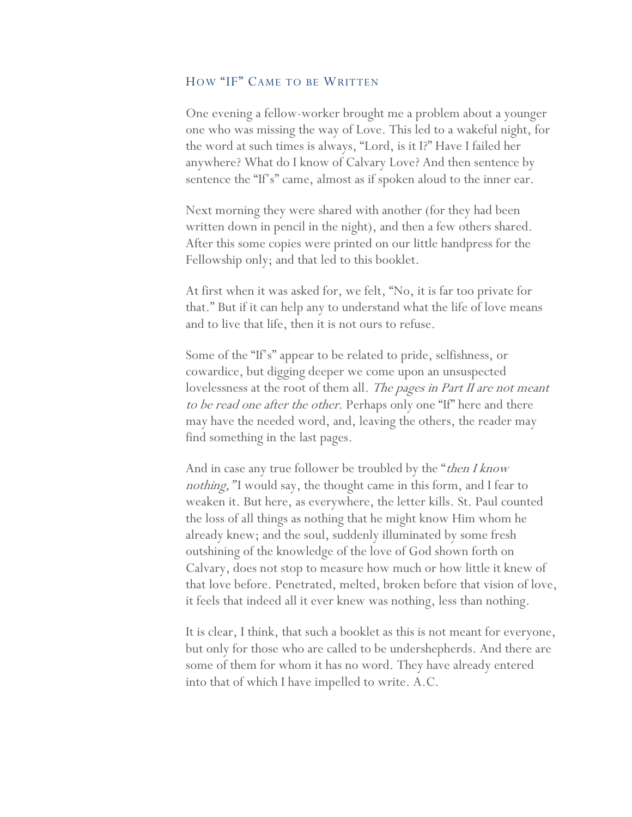# HOW "IF" CAME TO BE WRITTEN

One evening a fellow)worker brought me a problem about a younger one who was missing the way of Love. This led to a wakeful night, for the word at such times is always, "Lord, is it I?" Have I failed her anywhere? What do I know of Calvary Love? And then sentence by sentence the "If's" came, almost as if spoken aloud to the inner ear.

Next morning they were shared with another (for they had been written down in pencil in the night), and then a few others shared. After this some copies were printed on our little handpress for the Fellowship only; and that led to this booklet.

At first when it was asked for, we felt, "No, it is far too private for that." But if it can help any to understand what the life of love means and to live that life, then it is not ours to refuse.

Some of the "If's" appear to be related to pride, selfishness, or cowardice, but digging deeper we come upon an unsuspected lovelessness at the root of them all. *The pages in Part II are not meant* to be read one after the other. Perhaps only one "If" here and there may have the needed word, and, leaving the others, the reader may find something in the last pages.

And in case any true follower be troubled by the "*then I know* nothing, "I would say, the thought came in this form, and I fear to weaken it. But here, as everywhere, the letter kills. St. Paul counted the loss of all things as nothing that he might know Him whom he already knew; and the soul, suddenly illuminated by some fresh outshining of the knowledge of the love of God shown forth on Calvary, does not stop to measure how much or how little it knew of that love before. Penetrated, melted, broken before that vision of love, it feels that indeed all it ever knew was nothing, less than nothing.

It is clear, I think, that such a booklet as this is not meant for everyone, but only for those who are called to be undershepherds. And there are some of them for whom it has no word. They have already entered into that of which I have impelled to write. A.C.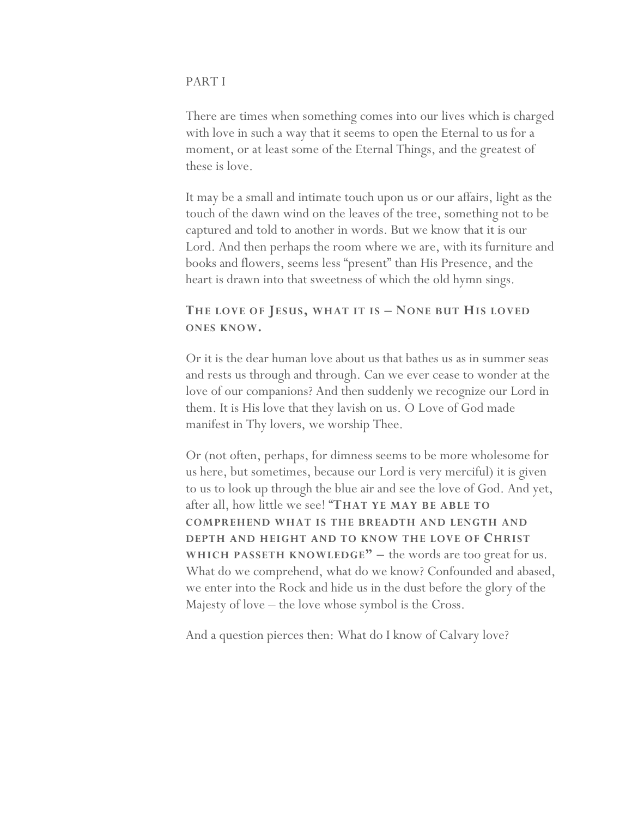### PART I

There are times when something comes into our lives which is charged with love in such a way that it seems to open the Eternal to us for a moment, or at least some of the Eternal Things, and the greatest of these is love.

It may be a small and intimate touch upon us or our affairs, light as the touch of the dawn wind on the leaves of the tree, something not to be captured and told to another in words. But we know that it is our Lord. And then perhaps the room where we are, with its furniture and books and flowers, seems less "present" than His Presence, and the heart is drawn into that sweetness of which the old hymn sings.

# **THE LOVE OF JESUS, WHAT IT IS – NONE BUT HIS LOVED ONES KNOW.**

Or it is the dear human love about us that bathes us as in summer seas and rests us through and through. Can we ever cease to wonder at the love of our companions? And then suddenly we recognize our Lord in them. It is His love that they lavish on us. O Love of God made manifest in Thy lovers, we worship Thee.

Or (not often, perhaps, for dimness seems to be more wholesome for us here, but sometimes, because our Lord is very merciful) it is given to us to look up through the blue air and see the love of God. And yet, after all, how little we see! "**THAT YE MAY BE ABLE TO COMPREHEND WHAT IS THE BREADTH AND LENGTH AND DEPTH AND HEIGHT AND TO KNOW THE LOVE OF CHRIST WHICH PASSETH KNOWLEDGE" –** the words are too great for us. What do we comprehend, what do we know? Confounded and abased, we enter into the Rock and hide us in the dust before the glory of the Majesty of love – the love whose symbol is the Cross.

And a question pierces then: What do I know of Calvary love?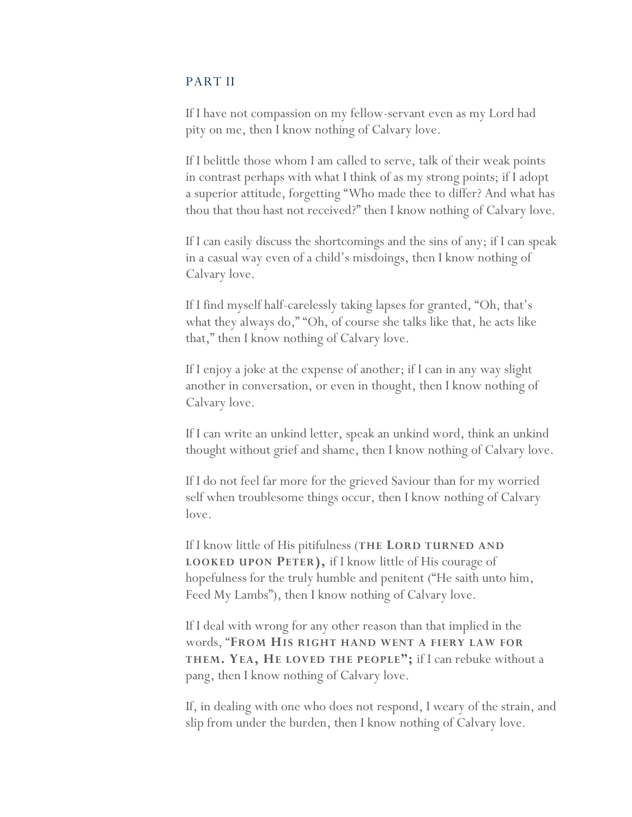# PART II

If I have not compassion on my fellow-servant even as my Lord had pity on me, then I know nothing of Calvary love.

If I belittle those whom I am called to serve, talk of their weak points in contrast perhaps with what I think of as my strong points; if I adopt a superior attitude, forgetting "Who made thee to differ? And what has thou that thou hast not received?" then I know nothing of Calvary love.

If I can easily discuss the shortcomings and the sins of any; if I can speak in a casual way even of a child's misdoings, then I know nothing of Calvary love.

If I find myself half-carelessly taking lapses for granted, "Oh, that's what they always do," "Oh, of course she talks like that, he acts like that," then I know nothing of Calvary love.

If I enjoy a joke at the expense of another; if I can in any way slight another in conversation, or even in thought, then I know nothing of Calvary love.

If I can write an unkind letter, speak an unkind word, think an unkind thought without grief and shame, then I know nothing of Calvary love.

If I do not feel far more for the grieved Saviour than for my worried self when troublesome things occur, then I know nothing of Calvary love.

If I know little of His pitifulness (**THE LORD TURNED AND LOOKED UPON PETER),** if I know little of His courage of hopefulness for the truly humble and penitent ("He saith unto him, Feed My Lambs"), then I know nothing of Calvary love.

If I deal with wrong for any other reason than that implied in the words, "**FROM HIS RIGHT HAND WENT A FIERY LAW FOR THEM. YEA, HE LOVED THE PEOPLE";** if I can rebuke without a pang, then I know nothing of Calvary love.

If, in dealing with one who does not respond, I weary of the strain, and slip from under the burden, then I know nothing of Calvary love.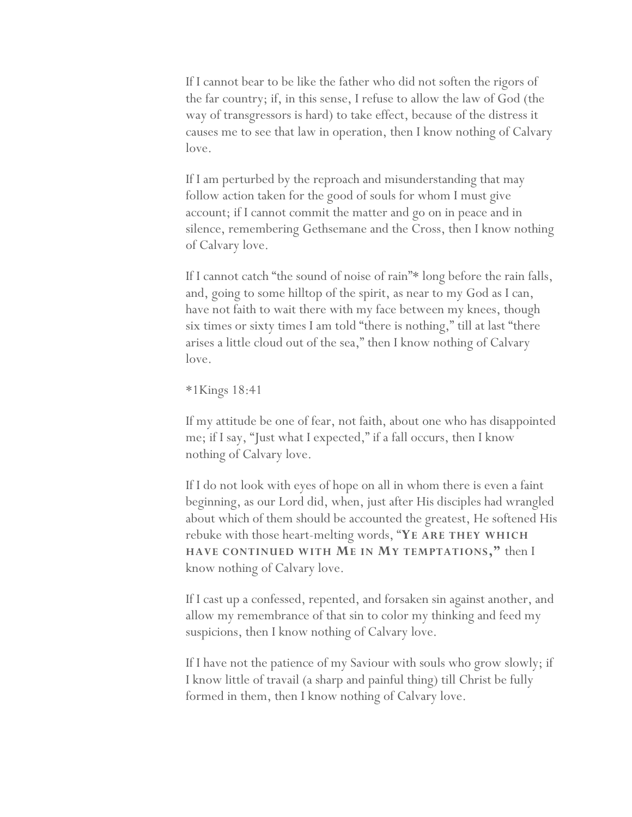If I cannot bear to be like the father who did not soften the rigors of the far country; if, in this sense, I refuse to allow the law of God (the way of transgressors is hard) to take effect, because of the distress it causes me to see that law in operation, then I know nothing of Calvary love.

If I am perturbed by the reproach and misunderstanding that may follow action taken for the good of souls for whom I must give account; if I cannot commit the matter and go on in peace and in silence, remembering Gethsemane and the Cross, then I know nothing of Calvary love.

If I cannot catch "the sound of noise of rain"\* long before the rain falls, and, going to some hilltop of the spirit, as near to my God as I can, have not faith to wait there with my face between my knees, though six times or sixty times I am told "there is nothing," till at last "there arises a little cloud out of the sea," then I know nothing of Calvary love.

\*1Kings 18:41

If my attitude be one of fear, not faith, about one who has disappointed me; if I say, "Just what I expected," if a fall occurs, then I know nothing of Calvary love.

If I do not look with eyes of hope on all in whom there is even a faint beginning, as our Lord did, when, just after His disciples had wrangled about which of them should be accounted the greatest, He softened His rebuke with those heart)melting words, "**YE ARE THEY WHICH HAVE CONTINUED WITH ME IN MY TEMPTATIONS,"** then I know nothing of Calvary love.

If I cast up a confessed, repented, and forsaken sin against another, and allow my remembrance of that sin to color my thinking and feed my suspicions, then I know nothing of Calvary love.

If I have not the patience of my Saviour with souls who grow slowly; if I know little of travail (a sharp and painful thing) till Christ be fully formed in them, then I know nothing of Calvary love.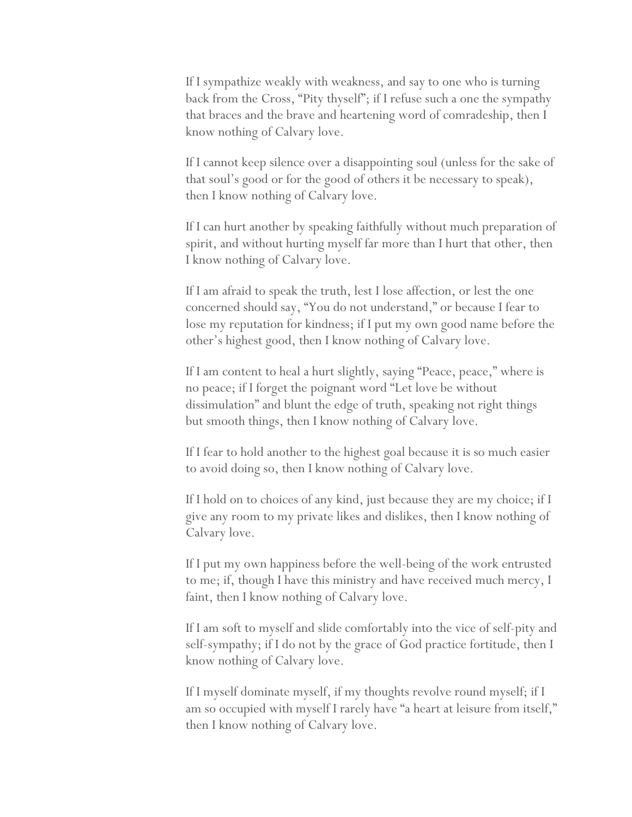If I sympathize weakly with weakness, and say to one who is turning back from the Cross, "Pity thyself"; if I refuse such a one the sympathy that braces and the brave and heartening word of comradeship, then I know nothing of Calvary love.

If I cannot keep silence over a disappointing soul (unless for the sake of that soul's good or for the good of others it be necessary to speak), then I know nothing of Calvary love.

If I can hurt another by speaking faithfully without much preparation of spirit, and without hurting myself far more than I hurt that other, then I know nothing of Calvary love.

If I am afraid to speak the truth, lest I lose affection, or lest the one concerned should say, "You do not understand," or because I fear to lose my reputation for kindness; if I put my own good name before the other's highest good, then I know nothing of Calvary love.

If I am content to heal a hurt slightly, saying "Peace, peace," where is no peace; if I forget the poignant word "Let love be without dissimulation" and blunt the edge of truth, speaking not right things but smooth things, then I know nothing of Calvary love.

If I fear to hold another to the highest goal because it is so much easier to avoid doing so, then I know nothing of Calvary love.

If I hold on to choices of any kind, just because they are my choice; if I give any room to my private likes and dislikes, then I know nothing of Calvary love.

If I put my own happiness before the well-being of the work entrusted to me; if, though I have this ministry and have received much mercy, I faint, then I know nothing of Calvary love.

If I am soft to myself and slide comfortably into the vice of self-pity and self-sympathy; if I do not by the grace of God practice fortitude, then I know nothing of Calvary love.

If I myself dominate myself, if my thoughts revolve round myself; if I am so occupied with myself I rarely have "a heart at leisure from itself," then I know nothing of Calvary love.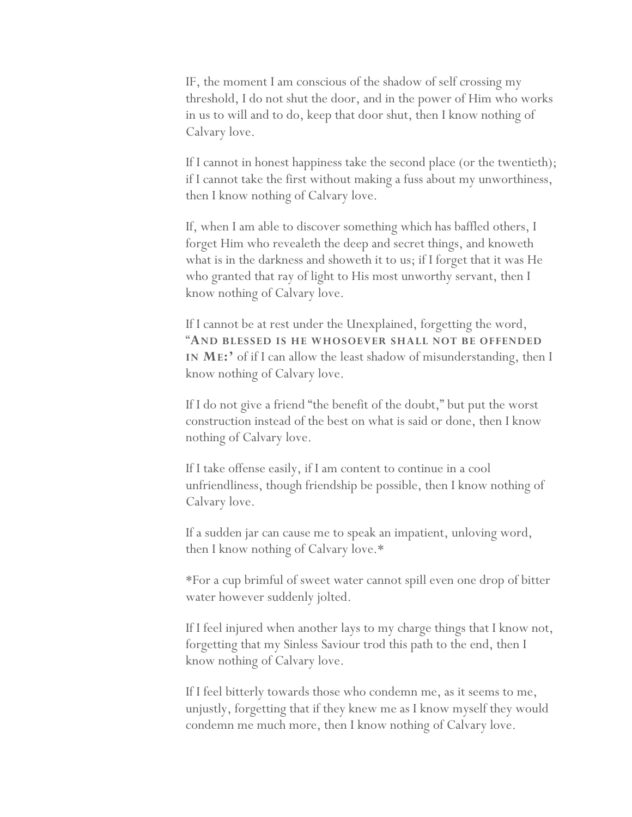IF, the moment I am conscious of the shadow of self crossing my threshold, I do not shut the door, and in the power of Him who works in us to will and to do, keep that door shut, then I know nothing of Calvary love.

If I cannot in honest happiness take the second place (or the twentieth); if I cannot take the first without making a fuss about my unworthiness, then I know nothing of Calvary love.

If, when I am able to discover something which has baffled others, I forget Him who revealeth the deep and secret things, and knoweth what is in the darkness and showeth it to us; if I forget that it was He who granted that ray of light to His most unworthy servant, then I know nothing of Calvary love.

If I cannot be at rest under the Unexplained, forgetting the word, "**AND BLESSED IS HE WHOSOEVER SHALL NOT BE OFFENDED IN ME:'** of if I can allow the least shadow of misunderstanding, then I know nothing of Calvary love.

If I do not give a friend "the benefit of the doubt," but put the worst construction instead of the best on what is said or done, then I know nothing of Calvary love.

If I take offense easily, if I am content to continue in a cool unfriendliness, though friendship be possible, then I know nothing of Calvary love.

If a sudden jar can cause me to speak an impatient, unloving word, then I know nothing of Calvary love.\*

\*For a cup brimful of sweet water cannot spill even one drop of bitter water however suddenly jolted.

If I feel injured when another lays to my charge things that I know not, forgetting that my Sinless Saviour trod this path to the end, then I know nothing of Calvary love.

If I feel bitterly towards those who condemn me, as it seems to me, unjustly, forgetting that if they knew me as I know myself they would condemn me much more, then I know nothing of Calvary love.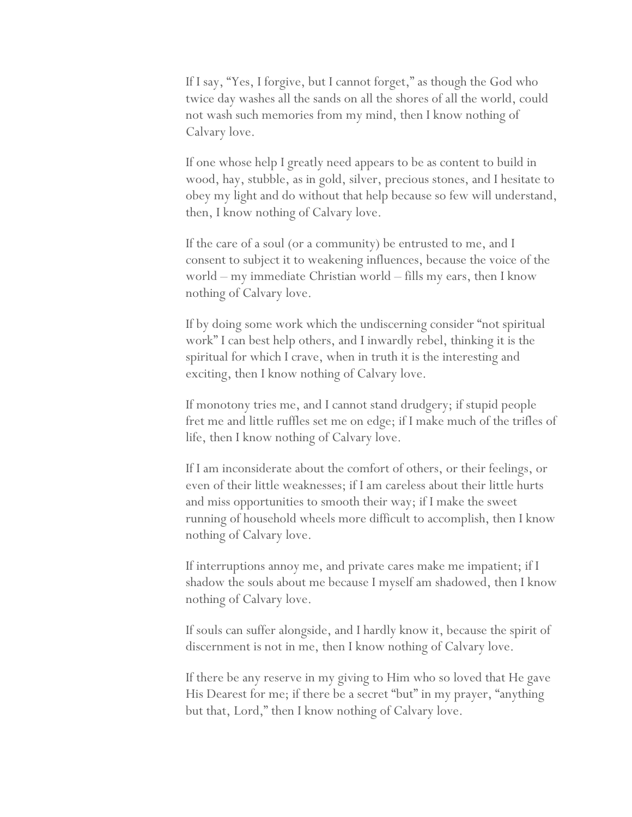If I say, "Yes, I forgive, but I cannot forget," as though the God who twice day washes all the sands on all the shores of all the world, could not wash such memories from my mind, then I know nothing of Calvary love.

If one whose help I greatly need appears to be as content to build in wood, hay, stubble, as in gold, silver, precious stones, and I hesitate to obey my light and do without that help because so few will understand, then, I know nothing of Calvary love.

If the care of a soul (or a community) be entrusted to me, and I consent to subject it to weakening influences, because the voice of the world – my immediate Christian world – fills my ears, then I know nothing of Calvary love.

If by doing some work which the undiscerning consider "not spiritual work" I can best help others, and I inwardly rebel, thinking it is the spiritual for which I crave, when in truth it is the interesting and exciting, then I know nothing of Calvary love.

If monotony tries me, and I cannot stand drudgery; if stupid people fret me and little ruffles set me on edge; if I make much of the trifles of life, then I know nothing of Calvary love.

If I am inconsiderate about the comfort of others, or their feelings, or even of their little weaknesses; if I am careless about their little hurts and miss opportunities to smooth their way; if I make the sweet running of household wheels more difficult to accomplish, then I know nothing of Calvary love.

If interruptions annoy me, and private cares make me impatient; if I shadow the souls about me because I myself am shadowed, then I know nothing of Calvary love.

If souls can suffer alongside, and I hardly know it, because the spirit of discernment is not in me, then I know nothing of Calvary love.

If there be any reserve in my giving to Him who so loved that He gave His Dearest for me; if there be a secret "but" in my prayer, "anything but that, Lord," then I know nothing of Calvary love.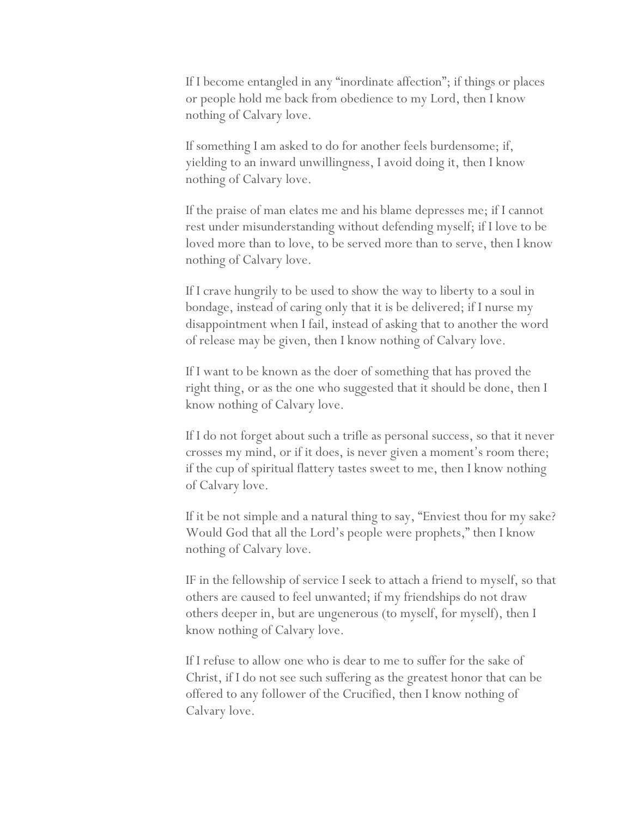If I become entangled in any "inordinate affection"; if things or places or people hold me back from obedience to my Lord, then I know nothing of Calvary love.

If something I am asked to do for another feels burdensome; if, yielding to an inward unwillingness, I avoid doing it, then I know nothing of Calvary love.

If the praise of man elates me and his blame depresses me; if I cannot rest under misunderstanding without defending myself; if I love to be loved more than to love, to be served more than to serve, then I know nothing of Calvary love.

If I crave hungrily to be used to show the way to liberty to a soul in bondage, instead of caring only that it is be delivered; if I nurse my disappointment when I fail, instead of asking that to another the word of release may be given, then I know nothing of Calvary love.

If I want to be known as the doer of something that has proved the right thing, or as the one who suggested that it should be done, then I know nothing of Calvary love.

If I do not forget about such a trifle as personal success, so that it never crosses my mind, or if it does, is never given a moment's room there; if the cup of spiritual flattery tastes sweet to me, then I know nothing of Calvary love.

If it be not simple and a natural thing to say, "Enviest thou for my sake? Would God that all the Lord's people were prophets," then I know nothing of Calvary love.

IF in the fellowship of service I seek to attach a friend to myself, so that others are caused to feel unwanted; if my friendships do not draw others deeper in, but are ungenerous (to myself, for myself), then I know nothing of Calvary love.

If I refuse to allow one who is dear to me to suffer for the sake of Christ, if I do not see such suffering as the greatest honor that can be offered to any follower of the Crucified, then I know nothing of Calvary love.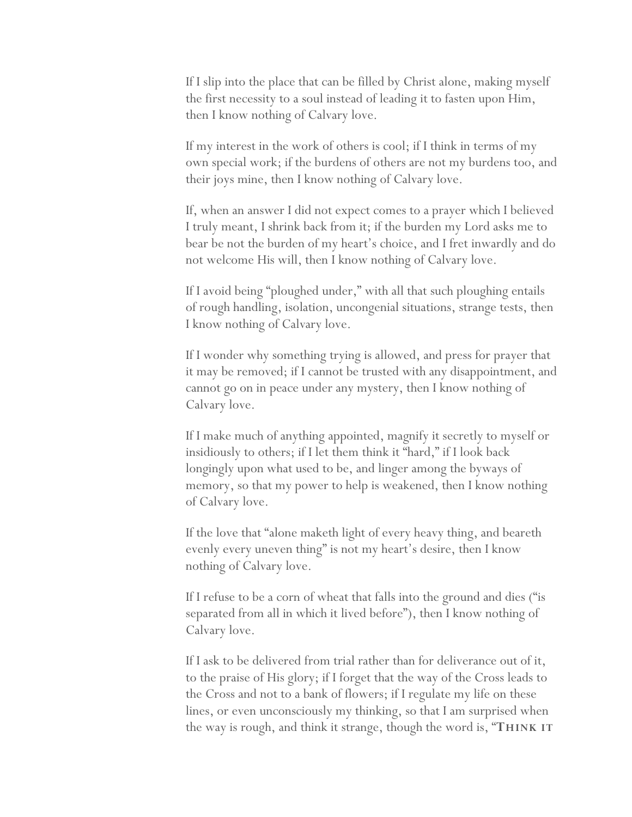If I slip into the place that can be filled by Christ alone, making myself the first necessity to a soul instead of leading it to fasten upon Him, then I know nothing of Calvary love.

If my interest in the work of others is cool; if I think in terms of my own special work; if the burdens of others are not my burdens too, and their joys mine, then I know nothing of Calvary love.

If, when an answer I did not expect comes to a prayer which I believed I truly meant, I shrink back from it; if the burden my Lord asks me to bear be not the burden of my heart's choice, and I fret inwardly and do not welcome His will, then I know nothing of Calvary love.

If I avoid being "ploughed under," with all that such ploughing entails of rough handling, isolation, uncongenial situations, strange tests, then I know nothing of Calvary love.

If I wonder why something trying is allowed, and press for prayer that it may be removed; if I cannot be trusted with any disappointment, and cannot go on in peace under any mystery, then I know nothing of Calvary love.

If I make much of anything appointed, magnify it secretly to myself or insidiously to others; if I let them think it "hard," if I look back longingly upon what used to be, and linger among the byways of memory, so that my power to help is weakened, then I know nothing of Calvary love.

If the love that "alone maketh light of every heavy thing, and beareth evenly every uneven thing" is not my heart's desire, then I know nothing of Calvary love.

If I refuse to be a corn of wheat that falls into the ground and dies ("is separated from all in which it lived before"), then I know nothing of Calvary love.

If I ask to be delivered from trial rather than for deliverance out of it, to the praise of His glory; if I forget that the way of the Cross leads to the Cross and not to a bank of flowers; if I regulate my life on these lines, or even unconsciously my thinking, so that I am surprised when the way is rough, and think it strange, though the word is, "**THINK IT**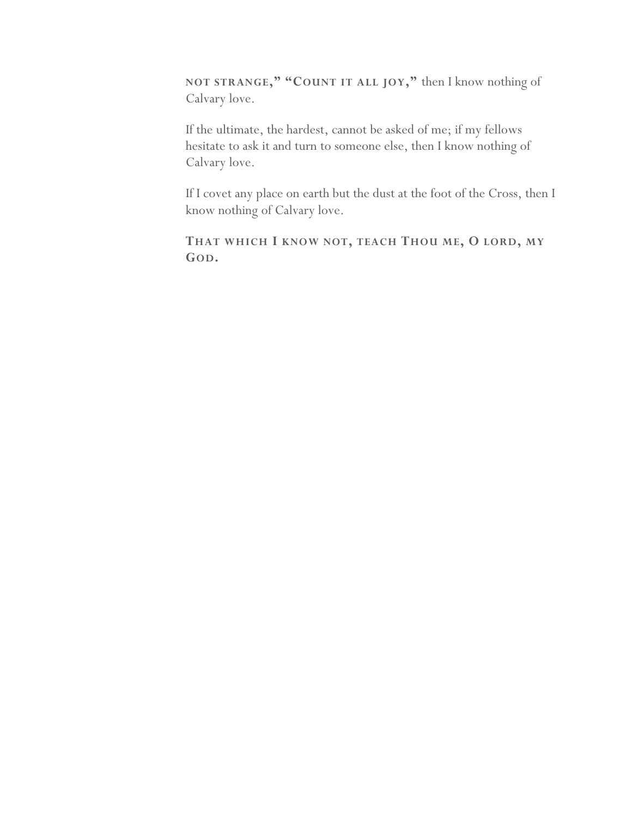**NOT STRANGE," "COUNT IT ALL JOY,"** then I know nothing of Calvary love.

If the ultimate, the hardest, cannot be asked of me; if my fellows hesitate to ask it and turn to someone else, then I know nothing of Calvary love.

If I covet any place on earth but the dust at the foot of the Cross, then I know nothing of Calvary love.

**THAT WHICH I KNOW NOT, TEACH THOU ME, O LORD, MY GOD.**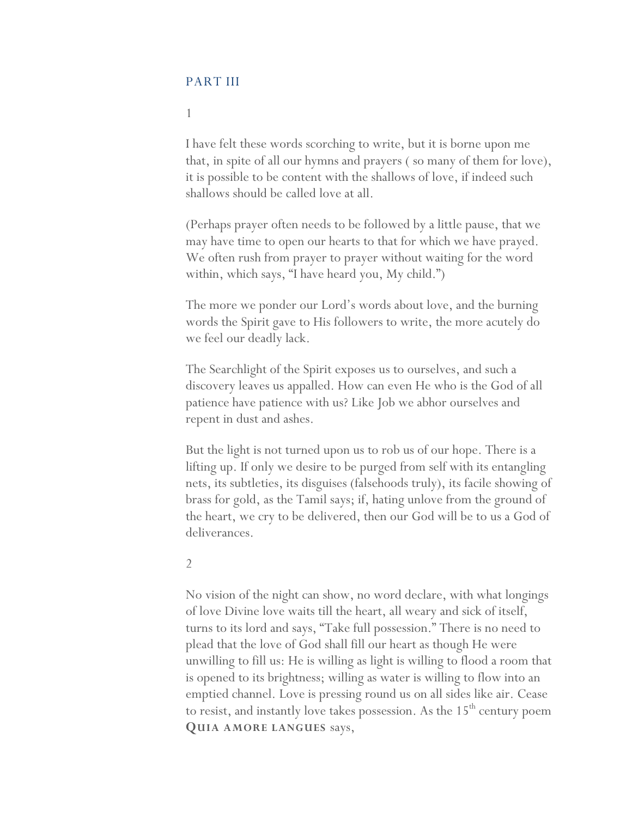### PART III

1

I have felt these words scorching to write, but it is borne upon me that, in spite of all our hymns and prayers ( so many of them for love), it is possible to be content with the shallows of love, if indeed such shallows should be called love at all.

(Perhaps prayer often needs to be followed by a little pause, that we may have time to open our hearts to that for which we have prayed. We often rush from prayer to prayer without waiting for the word within, which says, "I have heard you, My child.")

The more we ponder our Lord's words about love, and the burning words the Spirit gave to His followers to write, the more acutely do we feel our deadly lack.

The Searchlight of the Spirit exposes us to ourselves, and such a discovery leaves us appalled. How can even He who is the God of all patience have patience with us? Like Job we abhor ourselves and repent in dust and ashes.

But the light is not turned upon us to rob us of our hope. There is a lifting up. If only we desire to be purged from self with its entangling nets, its subtleties, its disguises (falsehoods truly), its facile showing of brass for gold, as the Tamil says; if, hating unlove from the ground of the heart, we cry to be delivered, then our God will be to us a God of deliverances.

# 2

No vision of the night can show, no word declare, with what longings of love Divine love waits till the heart, all weary and sick of itself, turns to its lord and says, "Take full possession." There is no need to plead that the love of God shall fill our heart as though He were unwilling to fill us: He is willing as light is willing to flood a room that is opened to its brightness; willing as water is willing to flow into an emptied channel. Love is pressing round us on all sides like air. Cease to resist, and instantly love takes possession. As the  $15<sup>th</sup>$  century poem **QUIA AMORE LANGUES** says,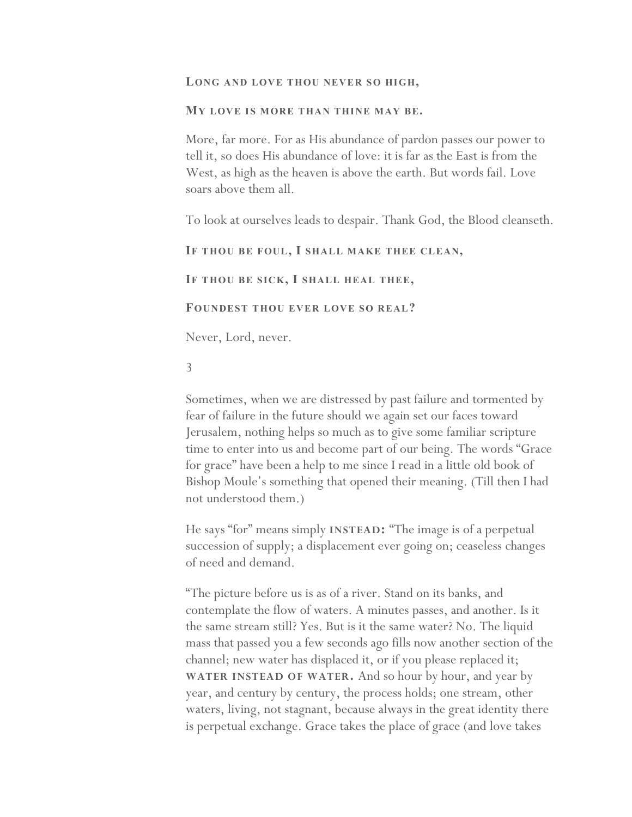#### **LONG AND LOVE THOU NEVER SO HIGH,**

#### **MY LOVE IS MORE THAN THINE MAY BE.**

More, far more. For as His abundance of pardon passes our power to tell it, so does His abundance of love: it is far as the East is from the West, as high as the heaven is above the earth. But words fail. Love soars above them all.

To look at ourselves leads to despair. Thank God, the Blood cleanseth.

**IF THOU BE FOUL, I SHALL MAKE THEE CLEAN,** 

**IF THOU BE SICK, I SHALL HEAL THEE,** 

#### **FOUNDEST THOU EVER LOVE SO REAL?**

Never, Lord, never.

3

Sometimes, when we are distressed by past failure and tormented by fear of failure in the future should we again set our faces toward Jerusalem, nothing helps so much as to give some familiar scripture time to enter into us and become part of our being. The words "Grace for grace" have been a help to me since I read in a little old book of Bishop Moule's something that opened their meaning. (Till then I had not understood them.)

He says "for" means simply **INSTEAD:** "The image is of a perpetual succession of supply; a displacement ever going on; ceaseless changes of need and demand.

"The picture before us is as of a river. Stand on its banks, and contemplate the flow of waters. A minutes passes, and another. Is it the same stream still? Yes. But is it the same water? No. The liquid mass that passed you a few seconds ago fills now another section of the channel; new water has displaced it, or if you please replaced it; **WATER INSTEAD OF WATER.** And so hour by hour, and year by year, and century by century, the process holds; one stream, other waters, living, not stagnant, because always in the great identity there is perpetual exchange. Grace takes the place of grace (and love takes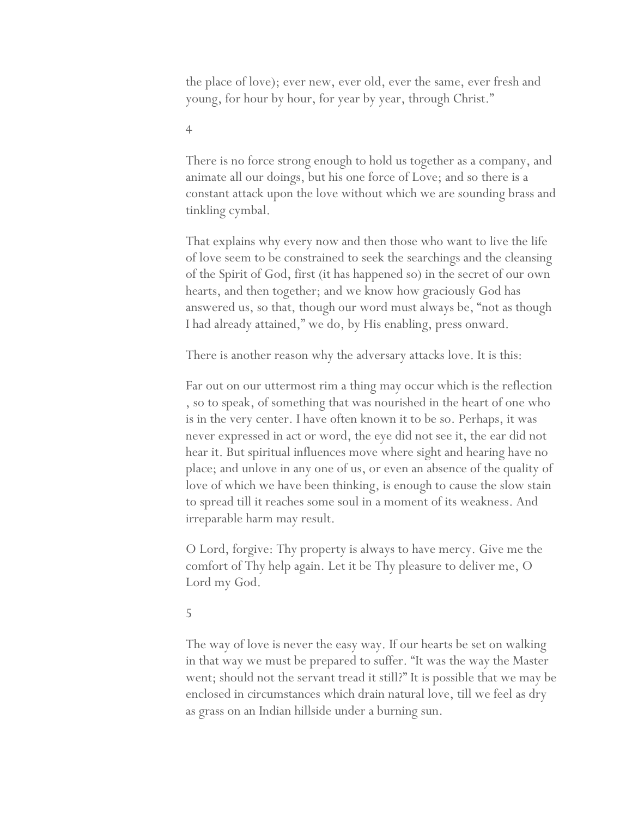the place of love); ever new, ever old, ever the same, ever fresh and young, for hour by hour, for year by year, through Christ."

# 4

There is no force strong enough to hold us together as a company, and animate all our doings, but his one force of Love; and so there is a constant attack upon the love without which we are sounding brass and tinkling cymbal.

That explains why every now and then those who want to live the life of love seem to be constrained to seek the searchings and the cleansing of the Spirit of God, first (it has happened so) in the secret of our own hearts, and then together; and we know how graciously God has answered us, so that, though our word must always be, "not as though I had already attained," we do, by His enabling, press onward.

There is another reason why the adversary attacks love. It is this:

Far out on our uttermost rim a thing may occur which is the reflection , so to speak, of something that was nourished in the heart of one who is in the very center. I have often known it to be so. Perhaps, it was never expressed in act or word, the eye did not see it, the ear did not hear it. But spiritual influences move where sight and hearing have no place; and unlove in any one of us, or even an absence of the quality of love of which we have been thinking, is enough to cause the slow stain to spread till it reaches some soul in a moment of its weakness. And irreparable harm may result.

O Lord, forgive: Thy property is always to have mercy. Give me the comfort of Thy help again. Let it be Thy pleasure to deliver me, O Lord my God.

# 5

The way of love is never the easy way. If our hearts be set on walking in that way we must be prepared to suffer. "It was the way the Master went; should not the servant tread it still?" It is possible that we may be enclosed in circumstances which drain natural love, till we feel as dry as grass on an Indian hillside under a burning sun.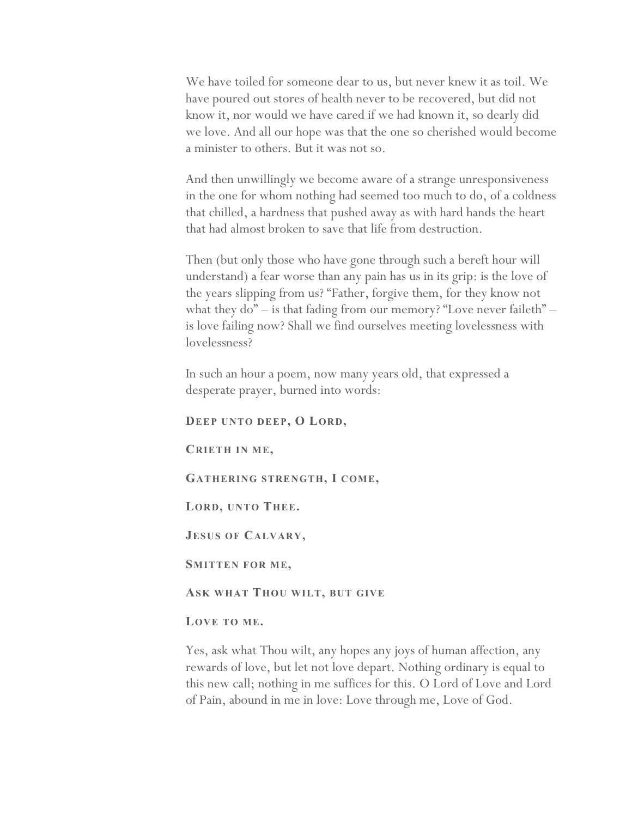We have toiled for someone dear to us, but never knew it as toil. We have poured out stores of health never to be recovered, but did not know it, nor would we have cared if we had known it, so dearly did we love. And all our hope was that the one so cherished would become a minister to others. But it was not so.

And then unwillingly we become aware of a strange unresponsiveness in the one for whom nothing had seemed too much to do, of a coldness that chilled, a hardness that pushed away as with hard hands the heart that had almost broken to save that life from destruction.

Then (but only those who have gone through such a bereft hour will understand) a fear worse than any pain has us in its grip: is the love of the years slipping from us? "Father, forgive them, for they know not what they do" – is that fading from our memory? "Love never faileth" – is love failing now? Shall we find ourselves meeting lovelessness with lovelessness?

In such an hour a poem, now many years old, that expressed a desperate prayer, burned into words:

**DEEP UNTO DEEP, O LORD,** 

**CRIETH IN ME,** 

**GATHERING STRENGTH, I COME,** 

**LORD, UNTO THEE.** 

**JESUS OF CALVARY,** 

**SMITTEN FOR ME,** 

**ASK WHAT THOU WILT, BUT GIVE**

**LOVE TO ME.** 

Yes, ask what Thou wilt, any hopes any joys of human affection, any rewards of love, but let not love depart. Nothing ordinary is equal to this new call; nothing in me suffices for this. O Lord of Love and Lord of Pain, abound in me in love: Love through me, Love of God.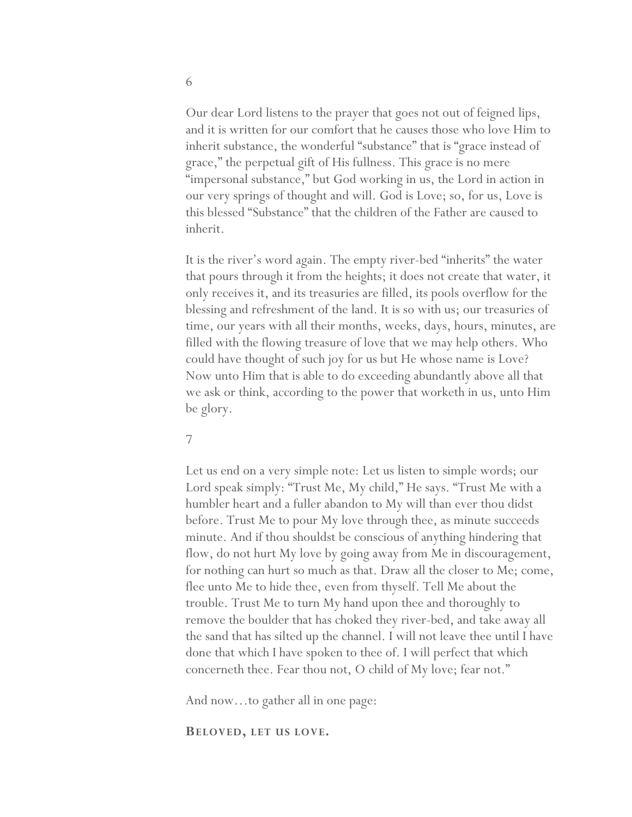Our dear Lord listens to the prayer that goes not out of feigned lips, and it is written for our comfort that he causes those who love Him to inherit substance, the wonderful "substance" that is "grace instead of grace," the perpetual gift of His fullness. This grace is no mere "impersonal substance," but God working in us, the Lord in action in our very springs of thought and will. God is Love; so, for us, Love is this blessed "Substance" that the children of the Father are caused to inherit.

It is the river's word again. The empty river-bed "inherits" the water that pours through it from the heights; it does not create that water, it only receives it, and its treasuries are filled, its pools overflow for the blessing and refreshment of the land. It is so with us; our treasuries of time, our years with all their months, weeks, days, hours, minutes, are filled with the flowing treasure of love that we may help others. Who could have thought of such joy for us but He whose name is Love? Now unto Him that is able to do exceeding abundantly above all that we ask or think, according to the power that worketh in us, unto Him be glory.

# 7

Let us end on a very simple note: Let us listen to simple words; our Lord speak simply: "Trust Me, My child," He says. "Trust Me with a humbler heart and a fuller abandon to My will than ever thou didst before. Trust Me to pour My love through thee, as minute succeeds minute. And if thou shouldst be conscious of anything hindering that flow, do not hurt My love by going away from Me in discouragement, for nothing can hurt so much as that. Draw all the closer to Me; come, flee unto Me to hide thee, even from thyself. Tell Me about the trouble. Trust Me to turn My hand upon thee and thoroughly to remove the boulder that has choked they river-bed, and take away all the sand that has silted up the channel. I will not leave thee until I have done that which I have spoken to thee of. I will perfect that which concerneth thee. Fear thou not, O child of My love; fear not."

And now…to gather all in one page:

**BELOVED, LET US LOVE.**